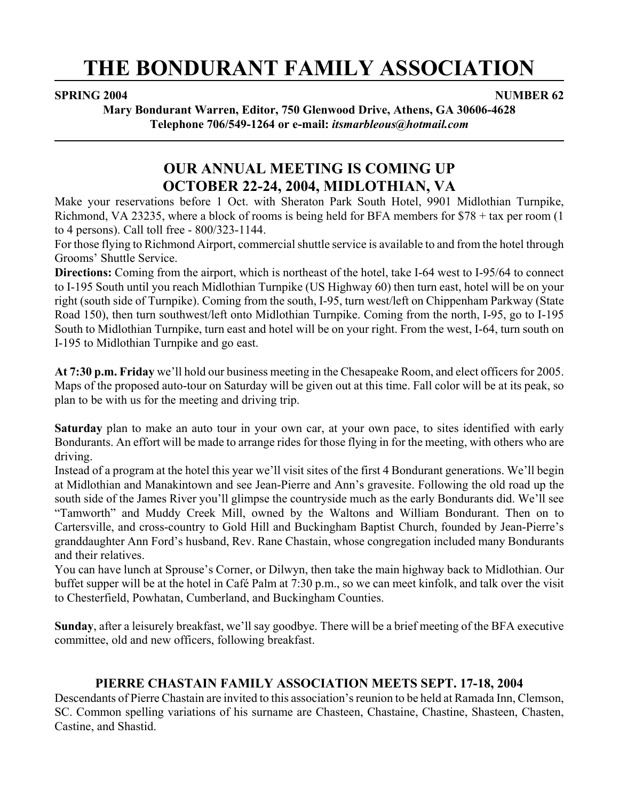# **THE BONDURANT FAMILY ASSOCIATION**

#### **SPRING 2004** NUMBER 62

**Mary Bondurant Warren, Editor, 750 Glenwood Drive, Athens, GA 30606-4628 Telephone 706/549-1264 or e-mail:** *itsmarbleous@hotmail.com*

# **OUR ANNUAL MEETING IS COMING UP OCTOBER 22-24, 2004, MIDLOTHIAN, VA**

Make your reservations before 1 Oct. with Sheraton Park South Hotel, 9901 Midlothian Turnpike, Richmond, VA 23235, where a block of rooms is being held for BFA members for \$78 + tax per room (1 to 4 persons). Call toll free - 800/323-1144.

For those flying to Richmond Airport, commercial shuttle service is available to and from the hotel through Grooms' Shuttle Service.

**Directions:** Coming from the airport, which is northeast of the hotel, take I-64 west to I-95/64 to connect to I-195 South until you reach Midlothian Turnpike (US Highway 60) then turn east, hotel will be on your right (south side of Turnpike). Coming from the south, I-95, turn west/left on Chippenham Parkway (State Road 150), then turn southwest/left onto Midlothian Turnpike. Coming from the north, I-95, go to I-195 South to Midlothian Turnpike, turn east and hotel will be on your right. From the west, I-64, turn south on I-195 to Midlothian Turnpike and go east.

**At 7:30 p.m. Friday** we'll hold our business meeting in the Chesapeake Room, and elect officers for 2005. Maps of the proposed auto-tour on Saturday will be given out at this time. Fall color will be at its peak, so plan to be with us for the meeting and driving trip.

**Saturday** plan to make an auto tour in your own car, at your own pace, to sites identified with early Bondurants. An effort will be made to arrange rides for those flying in for the meeting, with others who are driving.

Instead of a program at the hotel this year we'll visit sites of the first 4 Bondurant generations. We'll begin at Midlothian and Manakintown and see Jean-Pierre and Ann's gravesite. Following the old road up the south side of the James River you'll glimpse the countryside much as the early Bondurants did. We'll see "Tamworth" and Muddy Creek Mill, owned by the Waltons and William Bondurant. Then on to Cartersville, and cross-country to Gold Hill and Buckingham Baptist Church, founded by Jean-Pierre's granddaughter Ann Ford's husband, Rev. Rane Chastain, whose congregation included many Bondurants and their relatives.

You can have lunch at Sprouse's Corner, or Dilwyn, then take the main highway back to Midlothian. Our buffet supper will be at the hotel in Café Palm at 7:30 p.m., so we can meet kinfolk, and talk over the visit to Chesterfield, Powhatan, Cumberland, and Buckingham Counties.

**Sunday**, after a leisurely breakfast, we'll say goodbye. There will be a brief meeting of the BFA executive committee, old and new officers, following breakfast.

# **PIERRE CHASTAIN FAMILY ASSOCIATION MEETS SEPT. 17-18, 2004**

Descendants of Pierre Chastain are invited to this association's reunion to be held at Ramada Inn, Clemson, SC. Common spelling variations of his surname are Chasteen, Chastaine, Chastine, Shasteen, Chasten, Castine, and Shastid.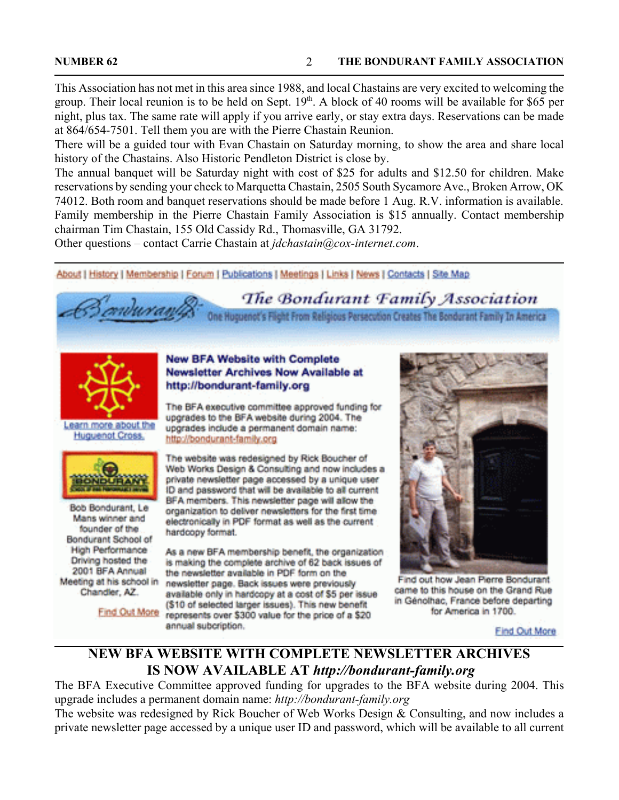This Association has not met in this area since 1988, and local Chastains are very excited to welcoming the group. Their local reunion is to be held on Sept.  $19<sup>th</sup>$ . A block of 40 rooms will be available for \$65 per night, plus tax. The same rate will apply if you arrive early, or stay extra days. Reservations can be made at 864/654-7501. Tell them you are with the Pierre Chastain Reunion.

There will be a guided tour with Evan Chastain on Saturday morning, to show the area and share local history of the Chastains. Also Historic Pendleton District is close by.

The annual banquet will be Saturday night with cost of \$25 for adults and \$12.50 for children. Make reservations by sending your check to Marquetta Chastain, 2505 South Sycamore Ave., Broken Arrow, OK 74012. Both room and banquet reservations should be made before 1 Aug. R.V. information is available. Family membership in the Pierre Chastain Family Association is \$15 annually. Contact membership chairman Tim Chastain, 155 Old Cassidy Rd., Thomasville, GA 31792.

Other questions – contact Carrie Chastain at *jdchastain@cox-internet.com*.

About | History | Membership | Forum | Publications | Meetings | Links | News | Contacts | Site Map

The Bondurant Family Association

One Huguenot's Flight From Religious Persecution Creates The Bondurant Family In America



Learn more about the **Huguenot Cross** 



Bob Bondurant, Le Mans winner and founder of the Bondurant School of **High Performance** Driving hosted the 2001 BFA Annual Meeting at his school in Chandler, AZ.

#### **New BFA Website with Complete** Newsletter Archives Now Available at http://bondurant-family.org

The BFA executive committee approved funding for upgrades to the BFA website during 2004. The upgrades include a permanent domain name: http://bondurant-family.org

The website was redesigned by Rick Boucher of Web Works Design & Consulting and now includes a private newsletter page accessed by a unique user ID and password that will be available to all current BFA members. This newsletter page will allow the organization to deliver newsletters for the first time electronically in PDF format as well as the current hardcopy format.

As a new BFA membership benefit, the organization is making the complete archive of 62 back issues of the newsletter available in PDF form on the newsletter page. Back issues were previously available only in hardcopy at a cost of \$5 per issue (\$10 of selected larger issues). This new benefit Find Out More represents over \$300 value for the price of a \$20 annual subcription.



Find out how Jean Pierre Bondurant came to this house on the Grand Rue in Génolhac, France before departing for America in 1700.

Find Out More

# **NEW BFA WEBSITE WITH COMPLETE NEWSLETTER ARCHIVES IS NOW AVAILABLE AT** *http://bondurant-family.org*

The BFA Executive Committee approved funding for upgrades to the BFA website during 2004. This upgrade includes a permanent domain name: *http://bondurant-family.org*

The website was redesigned by Rick Boucher of Web Works Design & Consulting, and now includes a private newsletter page accessed by a unique user ID and password, which will be available to all current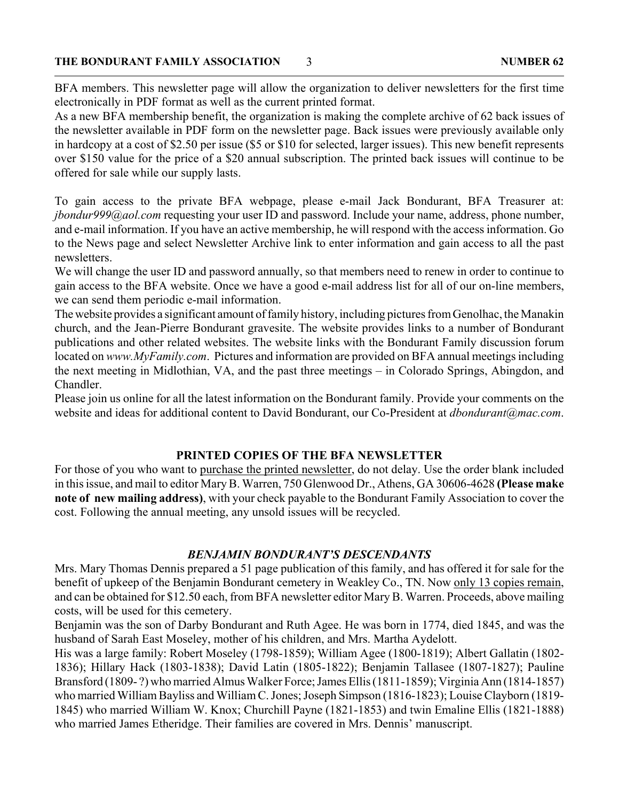BFA members. This newsletter page will allow the organization to deliver newsletters for the first time electronically in PDF format as well as the current printed format.

As a new BFA membership benefit, the organization is making the complete archive of 62 back issues of the newsletter available in PDF form on the newsletter page. Back issues were previously available only in hardcopy at a cost of \$2.50 per issue (\$5 or \$10 for selected, larger issues). This new benefit represents over \$150 value for the price of a \$20 annual subscription. The printed back issues will continue to be offered for sale while our supply lasts.

To gain access to the private BFA webpage, please e-mail Jack Bondurant, BFA Treasurer at: *jbondur999@aol.com* requesting your user ID and password. Include your name, address, phone number, and e-mail information. If you have an active membership, he will respond with the access information. Go to the News page and select Newsletter Archive link to enter information and gain access to all the past newsletters.

We will change the user ID and password annually, so that members need to renew in order to continue to gain access to the BFA website. Once we have a good e-mail address list for all of our on-line members, we can send them periodic e-mail information.

The website provides a significant amount of family history, including pictures from Genolhac, the Manakin church, and the Jean-Pierre Bondurant gravesite. The website provides links to a number of Bondurant publications and other related websites. The website links with the Bondurant Family discussion forum located on *www.MyFamily.com*. Pictures and information are provided on BFA annual meetings including the next meeting in Midlothian, VA, and the past three meetings – in Colorado Springs, Abingdon, and Chandler.

Please join us online for all the latest information on the Bondurant family. Provide your comments on the website and ideas for additional content to David Bondurant, our Co-President at *dbondurant@mac.com*.

### **PRINTED COPIES OF THE BFA NEWSLETTER**

For those of you who want to purchase the printed newsletter, do not delay. Use the order blank included in this issue, and mail to editor Mary B. Warren, 750 Glenwood Dr., Athens, GA 30606-4628 **(Please make note of new mailing address)**, with your check payable to the Bondurant Family Association to cover the cost. Following the annual meeting, any unsold issues will be recycled.

### *BENJAMIN BONDURANT'S DESCENDANTS*

Mrs. Mary Thomas Dennis prepared a 51 page publication of this family, and has offered it for sale for the benefit of upkeep of the Benjamin Bondurant cemetery in Weakley Co., TN. Now only 13 copies remain, and can be obtained for \$12.50 each, from BFA newsletter editor Mary B. Warren. Proceeds, above mailing costs, will be used for this cemetery.

Benjamin was the son of Darby Bondurant and Ruth Agee. He was born in 1774, died 1845, and was the husband of Sarah East Moseley, mother of his children, and Mrs. Martha Aydelott.

His was a large family: Robert Moseley (1798-1859); William Agee (1800-1819); Albert Gallatin (1802- 1836); Hillary Hack (1803-1838); David Latin (1805-1822); Benjamin Tallasee (1807-1827); Pauline Bransford (1809- ?) who married Almus Walker Force; James Ellis (1811-1859); Virginia Ann (1814-1857) who married William Bayliss and William C. Jones; Joseph Simpson (1816-1823); Louise Clayborn (1819- 1845) who married William W. Knox; Churchill Payne (1821-1853) and twin Emaline Ellis (1821-1888) who married James Etheridge. Their families are covered in Mrs. Dennis' manuscript.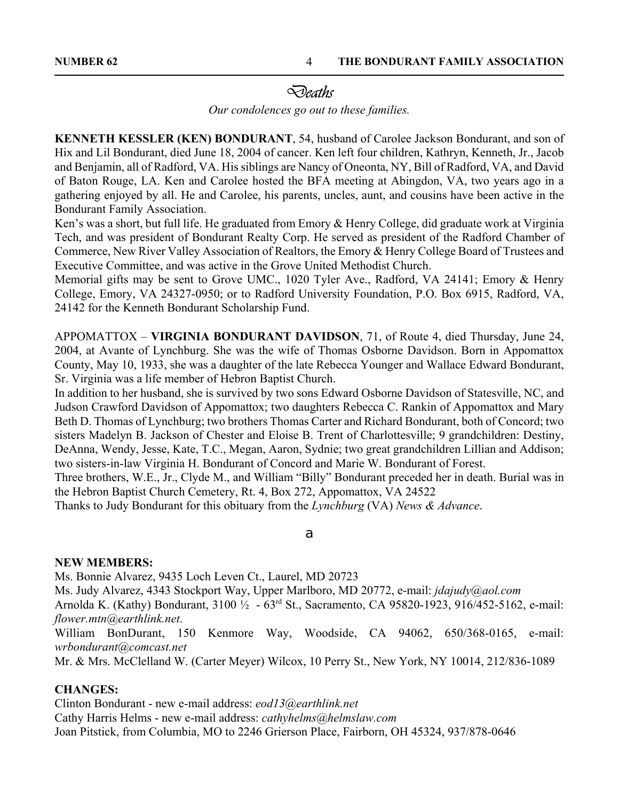**NUMBER 62 THE BONDURANT FAMILY ASSOCIATION** 4

# *Deaths*

*Our condolences go out to these families.*

**KENNETH KESSLER (KEN) BONDURANT**, 54, husband of Carolee Jackson Bondurant, and son of Hix and Lil Bondurant, died June 18, 2004 of cancer. Ken left four children, Kathryn, Kenneth, Jr., Jacob and Benjamin, all of Radford, VA. His siblings are Nancy of Oneonta, NY, Bill of Radford, VA, and David of Baton Rouge, LA. Ken and Carolee hosted the BFA meeting at Abingdon, VA, two years ago in a gathering enjoyed by all. He and Carolee, his parents, uncles, aunt, and cousins have been active in the Bondurant Family Association.

Ken's was a short, but full life. He graduated from Emory & Henry College, did graduate work at Virginia Tech, and was president of Bondurant Realty Corp. He served as president of the Radford Chamber of Commerce, New River Valley Association of Realtors, the Emory & Henry College Board of Trustees and Executive Committee, and was active in the Grove United Methodist Church.

Memorial gifts may be sent to Grove UMC., 1020 Tyler Ave., Radford, VA 24141; Emory & Henry College, Emory, VA 24327-0950; or to Radford University Foundation, P.O. Box 6915, Radford, VA, 24142 for the Kenneth Bondurant Scholarship Fund.

APPOMATTOX – **VIRGINIA BONDURANT DAVIDSON**, 71, of Route 4, died Thursday, June 24, 2004, at Avante of Lynchburg. She was the wife of Thomas Osborne Davidson. Born in Appomattox County, May 10, 1933, she was a daughter of the late Rebecca Younger and Wallace Edward Bondurant, Sr. Virginia was a life member of Hebron Baptist Church.

In addition to her husband, she is survived by two sons Edward Osborne Davidson of Statesville, NC, and Judson Crawford Davidson of Appomattox; two daughters Rebecca C. Rankin of Appomattox and Mary Beth D. Thomas of Lynchburg; two brothers Thomas Carter and Richard Bondurant, both of Concord; two sisters Madelyn B. Jackson of Chester and Eloise B. Trent of Charlottesville; 9 grandchildren: Destiny, DeAnna, Wendy, Jesse, Kate, T.C., Megan, Aaron, Sydnie; two great grandchildren Lillian and Addison; two sisters-in-law Virginia H. Bondurant of Concord and Marie W. Bondurant of Forest.

Three brothers, W.E., Jr., Clyde M., and William "Billy" Bondurant preceded her in death. Burial was in the Hebron Baptist Church Cemetery, Rt. 4, Box 272, Appomattox, VA 24522

Thanks to Judy Bondurant for this obituary from the *Lynchburg* (VA) *News & Advance*.

#### a

#### **NEW MEMBERS:**

Ms. Bonnie Alvarez, 9435 Loch Leven Ct., Laurel, MD 20723

Ms. Judy Alvarez, 4343 Stockport Way, Upper Marlboro, MD 20772, e-mail: *jdajudy@aol.com*

Arnolda K. (Kathy) Bondurant, 3100 ½ - 63rd St., Sacramento, CA 95820-1923, 916/452-5162, e-mail: *flower.mtn@earthlink.net*.

William BonDurant, 150 Kenmore Way, Woodside, CA 94062, 650/368-0165, e-mail: *wrbondurant@comcast.net*

Mr. & Mrs. McClelland W. (Carter Meyer) Wilcox, 10 Perry St., New York, NY 10014, 212/836-1089

### **CHANGES:**

Clinton Bondurant - new e-mail address: *eod13@earthlink.net* Cathy Harris Helms - new e-mail address: *cathyhelms@helmslaw.com* Joan Pitstick, from Columbia, MO to 2246 Grierson Place, Fairborn, OH 45324, 937/878-0646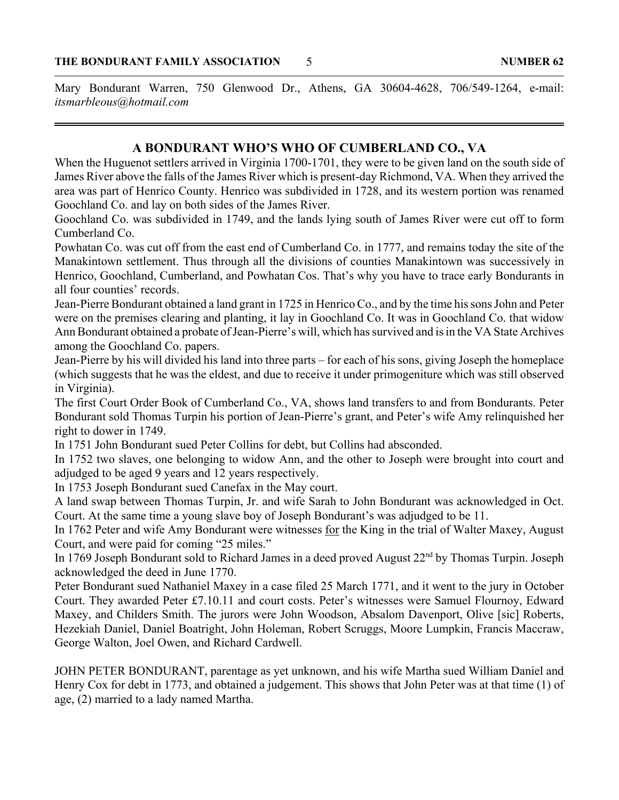Mary Bondurant Warren, 750 Glenwood Dr., Athens, GA 30604-4628, 706/549-1264, e-mail: *itsmarbleous@hotmail.com*

#### **A BONDURANT WHO'S WHO OF CUMBERLAND CO., VA**

When the Huguenot settlers arrived in Virginia 1700-1701, they were to be given land on the south side of James River above the falls of the James River which is present-day Richmond, VA. When they arrived the area was part of Henrico County. Henrico was subdivided in 1728, and its western portion was renamed Goochland Co. and lay on both sides of the James River.

Goochland Co. was subdivided in 1749, and the lands lying south of James River were cut off to form Cumberland Co.

Powhatan Co. was cut off from the east end of Cumberland Co. in 1777, and remains today the site of the Manakintown settlement. Thus through all the divisions of counties Manakintown was successively in Henrico, Goochland, Cumberland, and Powhatan Cos. That's why you have to trace early Bondurants in all four counties' records.

Jean-Pierre Bondurant obtained a land grant in 1725 in Henrico Co., and by the time his sons John and Peter were on the premises clearing and planting, it lay in Goochland Co. It was in Goochland Co. that widow Ann Bondurant obtained a probate of Jean-Pierre's will, which has survived and is in the VA State Archives among the Goochland Co. papers.

Jean-Pierre by his will divided his land into three parts – for each of his sons, giving Joseph the homeplace (which suggests that he was the eldest, and due to receive it under primogeniture which was still observed in Virginia).

The first Court Order Book of Cumberland Co., VA, shows land transfers to and from Bondurants. Peter Bondurant sold Thomas Turpin his portion of Jean-Pierre's grant, and Peter's wife Amy relinquished her right to dower in 1749.

In 1751 John Bondurant sued Peter Collins for debt, but Collins had absconded.

In 1752 two slaves, one belonging to widow Ann, and the other to Joseph were brought into court and adjudged to be aged 9 years and 12 years respectively.

In 1753 Joseph Bondurant sued Canefax in the May court.

A land swap between Thomas Turpin, Jr. and wife Sarah to John Bondurant was acknowledged in Oct. Court. At the same time a young slave boy of Joseph Bondurant's was adjudged to be 11.

In 1762 Peter and wife Amy Bondurant were witnesses for the King in the trial of Walter Maxey, August Court, and were paid for coming "25 miles."

In 1769 Joseph Bondurant sold to Richard James in a deed proved August 22nd by Thomas Turpin. Joseph acknowledged the deed in June 1770.

Peter Bondurant sued Nathaniel Maxey in a case filed 25 March 1771, and it went to the jury in October Court. They awarded Peter £7.10.11 and court costs. Peter's witnesses were Samuel Flournoy, Edward Maxey, and Childers Smith. The jurors were John Woodson, Absalom Davenport, Olive [sic] Roberts, Hezekiah Daniel, Daniel Boatright, John Holeman, Robert Scruggs, Moore Lumpkin, Francis Maccraw, George Walton, Joel Owen, and Richard Cardwell.

JOHN PETER BONDURANT, parentage as yet unknown, and his wife Martha sued William Daniel and Henry Cox for debt in 1773, and obtained a judgement. This shows that John Peter was at that time (1) of age, (2) married to a lady named Martha.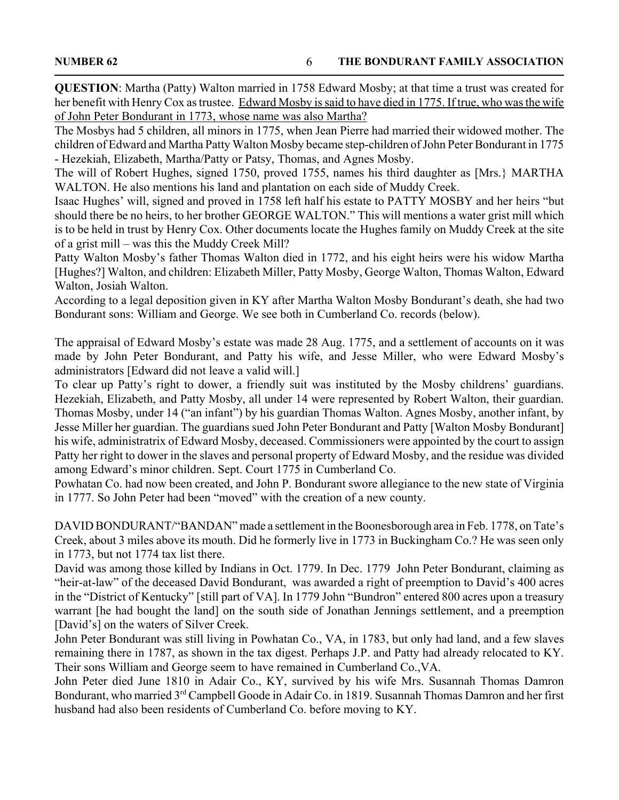**QUESTION**: Martha (Patty) Walton married in 1758 Edward Mosby; at that time a trust was created for her benefit with Henry Cox as trustee. Edward Mosby is said to have died in 1775. If true, who was the wife of John Peter Bondurant in 1773, whose name was also Martha?

The Mosbys had 5 children, all minors in 1775, when Jean Pierre had married their widowed mother. The children of Edward and Martha Patty Walton Mosby became step-children of John Peter Bondurant in 1775 - Hezekiah, Elizabeth, Martha/Patty or Patsy, Thomas, and Agnes Mosby.

The will of Robert Hughes, signed 1750, proved 1755, names his third daughter as [Mrs.} MARTHA WALTON. He also mentions his land and plantation on each side of Muddy Creek.

Isaac Hughes' will, signed and proved in 1758 left half his estate to PATTY MOSBY and her heirs "but should there be no heirs, to her brother GEORGE WALTON." This will mentions a water grist mill which is to be held in trust by Henry Cox. Other documents locate the Hughes family on Muddy Creek at the site of a grist mill – was this the Muddy Creek Mill?

Patty Walton Mosby's father Thomas Walton died in 1772, and his eight heirs were his widow Martha [Hughes?] Walton, and children: Elizabeth Miller, Patty Mosby, George Walton, Thomas Walton, Edward Walton, Josiah Walton.

According to a legal deposition given in KY after Martha Walton Mosby Bondurant's death, she had two Bondurant sons: William and George. We see both in Cumberland Co. records (below).

The appraisal of Edward Mosby's estate was made 28 Aug. 1775, and a settlement of accounts on it was made by John Peter Bondurant, and Patty his wife, and Jesse Miller, who were Edward Mosby's administrators [Edward did not leave a valid will.]

To clear up Patty's right to dower, a friendly suit was instituted by the Mosby childrens' guardians. Hezekiah, Elizabeth, and Patty Mosby, all under 14 were represented by Robert Walton, their guardian. Thomas Mosby, under 14 ("an infant") by his guardian Thomas Walton. Agnes Mosby, another infant, by Jesse Miller her guardian. The guardians sued John Peter Bondurant and Patty [Walton Mosby Bondurant] his wife, administratrix of Edward Mosby, deceased. Commissioners were appointed by the court to assign Patty her right to dower in the slaves and personal property of Edward Mosby, and the residue was divided among Edward's minor children. Sept. Court 1775 in Cumberland Co.

Powhatan Co. had now been created, and John P. Bondurant swore allegiance to the new state of Virginia in 1777. So John Peter had been "moved" with the creation of a new county.

DAVID BONDURANT/"BANDAN" made a settlement in the Boonesborough area in Feb. 1778, on Tate's Creek, about 3 miles above its mouth. Did he formerly live in 1773 in Buckingham Co.? He was seen only in 1773, but not 1774 tax list there.

David was among those killed by Indians in Oct. 1779. In Dec. 1779 John Peter Bondurant, claiming as "heir-at-law" of the deceased David Bondurant, was awarded a right of preemption to David's 400 acres in the "District of Kentucky" [still part of VA]. In 1779 John "Bundron" entered 800 acres upon a treasury warrant [he had bought the land] on the south side of Jonathan Jennings settlement, and a preemption [David's] on the waters of Silver Creek.

John Peter Bondurant was still living in Powhatan Co., VA, in 1783, but only had land, and a few slaves remaining there in 1787, as shown in the tax digest. Perhaps J.P. and Patty had already relocated to KY. Their sons William and George seem to have remained in Cumberland Co.,VA.

John Peter died June 1810 in Adair Co., KY, survived by his wife Mrs. Susannah Thomas Damron Bondurant, who married 3<sup>rd</sup> Campbell Goode in Adair Co. in 1819. Susannah Thomas Damron and her first husband had also been residents of Cumberland Co. before moving to KY.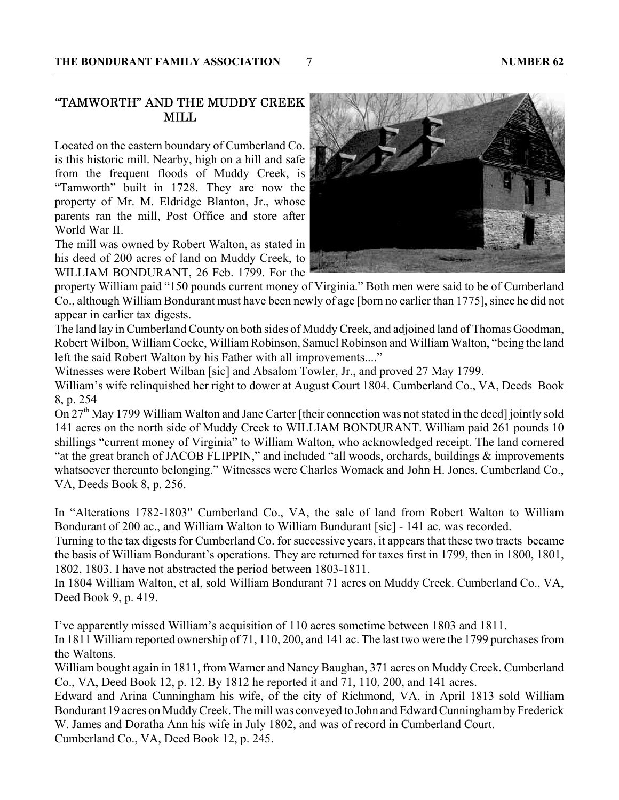#### "TAMWORTH" AND THE MUDDY CREEK MILL

Located on the eastern boundary of Cumberland Co. is this historic mill. Nearby, high on a hill and safe from the frequent floods of Muddy Creek, is "Tamworth" built in 1728. They are now the property of Mr. M. Eldridge Blanton, Jr., whose parents ran the mill, Post Office and store after World War II.

The mill was owned by Robert Walton, as stated in his deed of 200 acres of land on Muddy Creek, to WILLIAM BONDURANT, 26 Feb. 1799. For the

property William paid "150 pounds current money of Virginia." Both men were said to be of Cumberland Co., although William Bondurant must have been newly of age [born no earlier than 1775], since he did not appear in earlier tax digests.

The land lay in Cumberland County on both sides of Muddy Creek, and adjoined land of Thomas Goodman, Robert Wilbon, William Cocke, William Robinson, Samuel Robinson and William Walton, "being the land left the said Robert Walton by his Father with all improvements...."

Witnesses were Robert Wilban [sic] and Absalom Towler, Jr., and proved 27 May 1799.

William's wife relinquished her right to dower at August Court 1804. Cumberland Co., VA, Deeds Book 8, p. 254

On 27<sup>th</sup> May 1799 William Walton and Jane Carter [their connection was not stated in the deed] jointly sold 141 acres on the north side of Muddy Creek to WILLIAM BONDURANT. William paid 261 pounds 10 shillings "current money of Virginia" to William Walton, who acknowledged receipt. The land cornered "at the great branch of JACOB FLIPPIN," and included "all woods, orchards, buildings & improvements whatsoever thereunto belonging." Witnesses were Charles Womack and John H. Jones. Cumberland Co., VA, Deeds Book 8, p. 256.

In "Alterations 1782-1803" Cumberland Co., VA, the sale of land from Robert Walton to William Bondurant of 200 ac., and William Walton to William Bundurant [sic] - 141 ac. was recorded.

Turning to the tax digests for Cumberland Co. for successive years, it appears that these two tracts became the basis of William Bondurant's operations. They are returned for taxes first in 1799, then in 1800, 1801, 1802, 1803. I have not abstracted the period between 1803-1811.

In 1804 William Walton, et al, sold William Bondurant 71 acres on Muddy Creek. Cumberland Co., VA, Deed Book 9, p. 419.

I've apparently missed William's acquisition of 110 acres sometime between 1803 and 1811.

In 1811 William reported ownership of 71, 110, 200, and 141 ac. The last two were the 1799 purchases from the Waltons.

William bought again in 1811, from Warner and Nancy Baughan, 371 acres on Muddy Creek. Cumberland Co., VA, Deed Book 12, p. 12. By 1812 he reported it and 71, 110, 200, and 141 acres.

Edward and Arina Cunningham his wife, of the city of Richmond, VA, in April 1813 sold William Bondurant 19 acres on Muddy Creek. The mill was conveyed to John and Edward Cunningham by Frederick W. James and Doratha Ann his wife in July 1802, and was of record in Cumberland Court.

Cumberland Co., VA, Deed Book 12, p. 245.

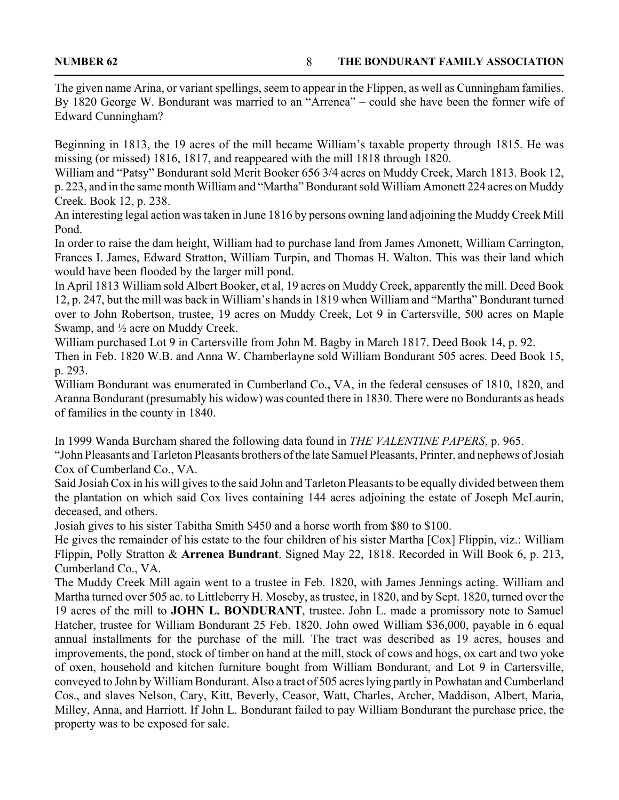The given name Arina, or variant spellings, seem to appear in the Flippen, as well as Cunningham families. By 1820 George W. Bondurant was married to an "Arrenea" – could she have been the former wife of Edward Cunningham?

Beginning in 1813, the 19 acres of the mill became William's taxable property through 1815. He was missing (or missed) 1816, 1817, and reappeared with the mill 1818 through 1820.

William and "Patsy" Bondurant sold Merit Booker 656 3/4 acres on Muddy Creek, March 1813. Book 12, p. 223, and in the same month William and "Martha" Bondurant sold William Amonett 224 acres on Muddy Creek. Book 12, p. 238.

An interesting legal action was taken in June 1816 by persons owning land adjoining the Muddy Creek Mill Pond.

In order to raise the dam height, William had to purchase land from James Amonett, William Carrington, Frances I. James, Edward Stratton, William Turpin, and Thomas H. Walton. This was their land which would have been flooded by the larger mill pond.

In April 1813 William sold Albert Booker, et al, 19 acres on Muddy Creek, apparently the mill. Deed Book 12, p. 247, but the mill was back in William's hands in 1819 when William and "Martha" Bondurant turned over to John Robertson, trustee, 19 acres on Muddy Creek, Lot 9 in Cartersville, 500 acres on Maple Swamp, and ½ acre on Muddy Creek.

William purchased Lot 9 in Cartersville from John M. Bagby in March 1817. Deed Book 14, p. 92.

Then in Feb. 1820 W.B. and Anna W. Chamberlayne sold William Bondurant 505 acres. Deed Book 15, p. 293.

William Bondurant was enumerated in Cumberland Co., VA, in the federal censuses of 1810, 1820, and Aranna Bondurant (presumably his widow) was counted there in 1830. There were no Bondurants as heads of families in the county in 1840.

In 1999 Wanda Burcham shared the following data found in *THE VALENTINE PAPERS*, p. 965.

"John Pleasants and Tarleton Pleasants brothers of the late Samuel Pleasants, Printer, and nephews of Josiah Cox of Cumberland Co., VA.

Said Josiah Cox in his will gives to the said John and Tarleton Pleasants to be equally divided between them the plantation on which said Cox lives containing 144 acres adjoining the estate of Joseph McLaurin, deceased, and others.

Josiah gives to his sister Tabitha Smith \$450 and a horse worth from \$80 to \$100.

He gives the remainder of his estate to the four children of his sister Martha [Cox] Flippin, viz.: William Flippin, Polly Stratton & **Arrenea Bundrant**. Signed May 22, 1818. Recorded in Will Book 6, p. 213, Cumberland Co., VA.

The Muddy Creek Mill again went to a trustee in Feb. 1820, with James Jennings acting. William and Martha turned over 505 ac. to Littleberry H. Moseby, as trustee, in 1820, and by Sept. 1820, turned over the 19 acres of the mill to **JOHN L. BONDURANT**, trustee. John L. made a promissory note to Samuel Hatcher, trustee for William Bondurant 25 Feb. 1820. John owed William \$36,000, payable in 6 equal annual installments for the purchase of the mill. The tract was described as 19 acres, houses and improvements, the pond, stock of timber on hand at the mill, stock of cows and hogs, ox cart and two yoke of oxen, household and kitchen furniture bought from William Bondurant, and Lot 9 in Cartersville, conveyed to John by William Bondurant. Also a tract of 505 acres lying partly in Powhatan and Cumberland Cos., and slaves Nelson, Cary, Kitt, Beverly, Ceasor, Watt, Charles, Archer, Maddison, Albert, Maria, Milley, Anna, and Harriott. If John L. Bondurant failed to pay William Bondurant the purchase price, the property was to be exposed for sale.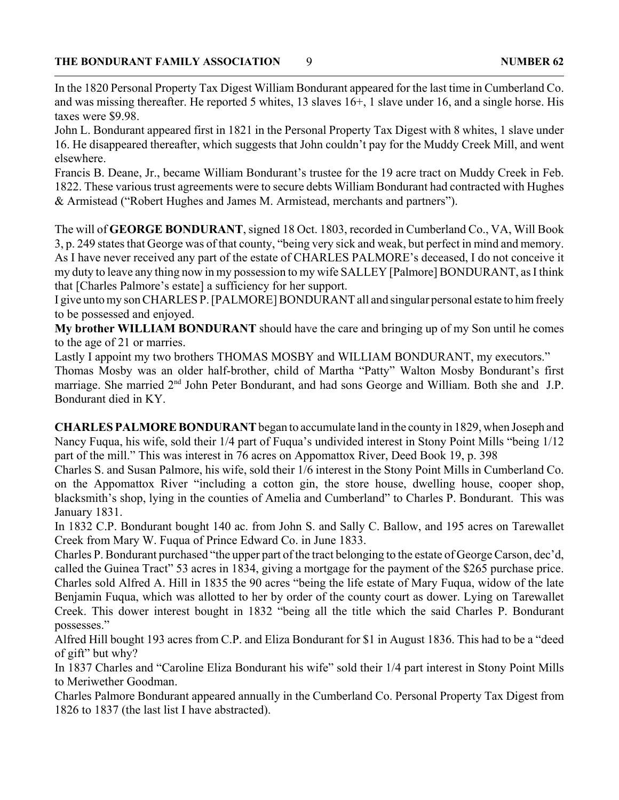In the 1820 Personal Property Tax Digest William Bondurant appeared for the last time in Cumberland Co. and was missing thereafter. He reported 5 whites, 13 slaves 16+, 1 slave under 16, and a single horse. His taxes were \$9.98.

John L. Bondurant appeared first in 1821 in the Personal Property Tax Digest with 8 whites, 1 slave under 16. He disappeared thereafter, which suggests that John couldn't pay for the Muddy Creek Mill, and went elsewhere.

Francis B. Deane, Jr., became William Bondurant's trustee for the 19 acre tract on Muddy Creek in Feb. 1822. These various trust agreements were to secure debts William Bondurant had contracted with Hughes & Armistead ("Robert Hughes and James M. Armistead, merchants and partners").

The will of **GEORGE BONDURANT**, signed 18 Oct. 1803, recorded in Cumberland Co., VA, Will Book 3, p. 249 states that George was of that county, "being very sick and weak, but perfect in mind and memory. As I have never received any part of the estate of CHARLES PALMORE's deceased, I do not conceive it my duty to leave any thing now in my possession to my wife SALLEY [Palmore] BONDURANT, as I think that [Charles Palmore's estate] a sufficiency for her support.

I give unto my son CHARLES P. [PALMORE] BONDURANT all and singular personal estate to him freely to be possessed and enjoyed.

**My brother WILLIAM BONDURANT** should have the care and bringing up of my Son until he comes to the age of 21 or marries.

Lastly I appoint my two brothers THOMAS MOSBY and WILLIAM BONDURANT, my executors."

Thomas Mosby was an older half-brother, child of Martha "Patty" Walton Mosby Bondurant's first marriage. She married 2<sup>nd</sup> John Peter Bondurant, and had sons George and William. Both she and J.P. Bondurant died in KY.

**CHARLES PALMORE BONDURANT** began to accumulate land in the county in 1829, when Joseph and Nancy Fuqua, his wife, sold their 1/4 part of Fuqua's undivided interest in Stony Point Mills "being 1/12 part of the mill." This was interest in 76 acres on Appomattox River, Deed Book 19, p. 398

Charles S. and Susan Palmore, his wife, sold their 1/6 interest in the Stony Point Mills in Cumberland Co. on the Appomattox River "including a cotton gin, the store house, dwelling house, cooper shop, blacksmith's shop, lying in the counties of Amelia and Cumberland" to Charles P. Bondurant. This was January 1831.

In 1832 C.P. Bondurant bought 140 ac. from John S. and Sally C. Ballow, and 195 acres on Tarewallet Creek from Mary W. Fuqua of Prince Edward Co. in June 1833.

Charles P. Bondurant purchased "the upper part of the tract belonging to the estate of George Carson, dec'd, called the Guinea Tract" 53 acres in 1834, giving a mortgage for the payment of the \$265 purchase price. Charles sold Alfred A. Hill in 1835 the 90 acres "being the life estate of Mary Fuqua, widow of the late Benjamin Fuqua, which was allotted to her by order of the county court as dower. Lying on Tarewallet Creek. This dower interest bought in 1832 "being all the title which the said Charles P. Bondurant possesses."

Alfred Hill bought 193 acres from C.P. and Eliza Bondurant for \$1 in August 1836. This had to be a "deed of gift" but why?

In 1837 Charles and "Caroline Eliza Bondurant his wife" sold their 1/4 part interest in Stony Point Mills to Meriwether Goodman.

Charles Palmore Bondurant appeared annually in the Cumberland Co. Personal Property Tax Digest from 1826 to 1837 (the last list I have abstracted).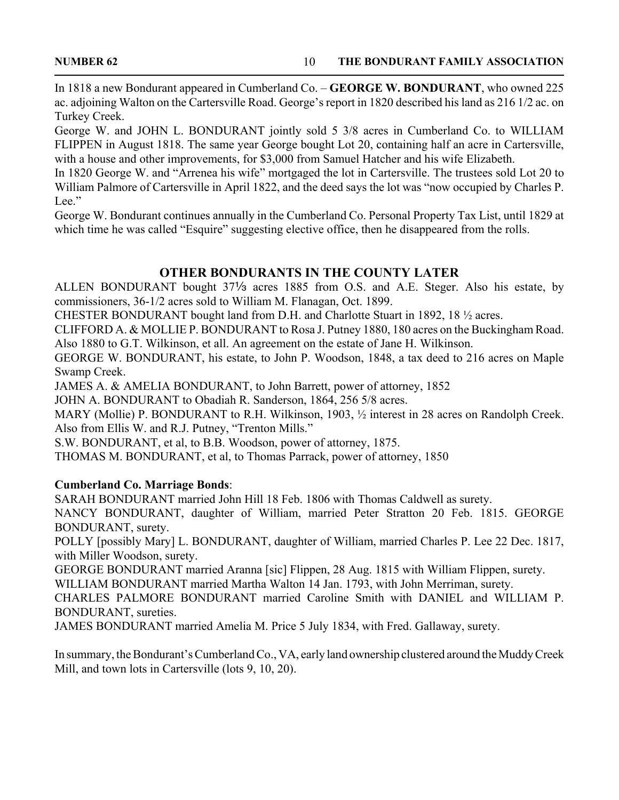In 1818 a new Bondurant appeared in Cumberland Co. – **GEORGE W. BONDURANT**, who owned 225 ac. adjoining Walton on the Cartersville Road. George's report in 1820 described his land as 216 1/2 ac. on Turkey Creek.

George W. and JOHN L. BONDURANT jointly sold 5 3/8 acres in Cumberland Co. to WILLIAM FLIPPEN in August 1818. The same year George bought Lot 20, containing half an acre in Cartersville, with a house and other improvements, for \$3,000 from Samuel Hatcher and his wife Elizabeth.

In 1820 George W. and "Arrenea his wife" mortgaged the lot in Cartersville. The trustees sold Lot 20 to William Palmore of Cartersville in April 1822, and the deed says the lot was "now occupied by Charles P. Lee."

George W. Bondurant continues annually in the Cumberland Co. Personal Property Tax List, until 1829 at which time he was called "Esquire" suggesting elective office, then he disappeared from the rolls.

# **OTHER BONDURANTS IN THE COUNTY LATER**

ALLEN BONDURANT bought  $37\frac{1}{3}$  acres 1885 from O.S. and A.E. Steger. Also his estate, by commissioners, 36-1/2 acres sold to William M. Flanagan, Oct. 1899.

CHESTER BONDURANT bought land from D.H. and Charlotte Stuart in 1892, 18 ½ acres.

CLIFFORD A. & MOLLIE P. BONDURANT to Rosa J. Putney 1880, 180 acres on the Buckingham Road. Also 1880 to G.T. Wilkinson, et all. An agreement on the estate of Jane H. Wilkinson.

GEORGE W. BONDURANT, his estate, to John P. Woodson, 1848, a tax deed to 216 acres on Maple Swamp Creek.

JAMES A. & AMELIA BONDURANT, to John Barrett, power of attorney, 1852

JOHN A. BONDURANT to Obadiah R. Sanderson, 1864, 256 5/8 acres.

MARY (Mollie) P. BONDURANT to R.H. Wilkinson, 1903, ½ interest in 28 acres on Randolph Creek. Also from Ellis W. and R.J. Putney, "Trenton Mills."

S.W. BONDURANT, et al, to B.B. Woodson, power of attorney, 1875.

THOMAS M. BONDURANT, et al, to Thomas Parrack, power of attorney, 1850

### **Cumberland Co. Marriage Bonds**:

SARAH BONDURANT married John Hill 18 Feb. 1806 with Thomas Caldwell as surety.

NANCY BONDURANT, daughter of William, married Peter Stratton 20 Feb. 1815. GEORGE BONDURANT, surety.

POLLY [possibly Mary] L. BONDURANT, daughter of William, married Charles P. Lee 22 Dec. 1817, with Miller Woodson, surety.

GEORGE BONDURANT married Aranna [sic] Flippen, 28 Aug. 1815 with William Flippen, surety.

WILLIAM BONDURANT married Martha Walton 14 Jan. 1793, with John Merriman, surety.

CHARLES PALMORE BONDURANT married Caroline Smith with DANIEL and WILLIAM P. BONDURANT, sureties.

JAMES BONDURANT married Amelia M. Price 5 July 1834, with Fred. Gallaway, surety.

In summary, the Bondurant's Cumberland Co., VA, early land ownership clustered around the Muddy Creek Mill, and town lots in Cartersville (lots 9, 10, 20).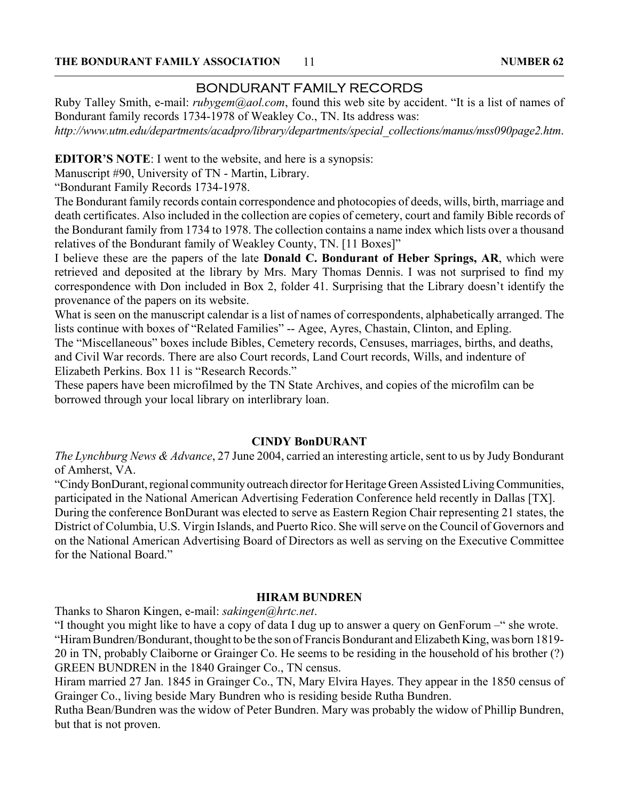# BONDURANT FAMILY RECORDS

Ruby Talley Smith, e-mail: *rubygem@aol.com*, found this web site by accident. "It is a list of names of Bondurant family records 1734-1978 of Weakley Co., TN. Its address was: *http://www.utm.edu/departments/acadpro/library/departments/special\_collections/manus/mss090page2.htm*.

**EDITOR'S NOTE**: I went to the website, and here is a synopsis:

Manuscript #90, University of TN - Martin, Library.

"Bondurant Family Records 1734-1978.

The Bondurant family records contain correspondence and photocopies of deeds, wills, birth, marriage and death certificates. Also included in the collection are copies of cemetery, court and family Bible records of the Bondurant family from 1734 to 1978. The collection contains a name index which lists over a thousand relatives of the Bondurant family of Weakley County, TN. [11 Boxes]"

I believe these are the papers of the late **Donald C. Bondurant of Heber Springs, AR**, which were retrieved and deposited at the library by Mrs. Mary Thomas Dennis. I was not surprised to find my correspondence with Don included in Box 2, folder 41. Surprising that the Library doesn't identify the provenance of the papers on its website.

What is seen on the manuscript calendar is a list of names of correspondents, alphabetically arranged. The lists continue with boxes of "Related Families" -- Agee, Ayres, Chastain, Clinton, and Epling.

The "Miscellaneous" boxes include Bibles, Cemetery records, Censuses, marriages, births, and deaths, and Civil War records. There are also Court records, Land Court records, Wills, and indenture of Elizabeth Perkins. Box 11 is "Research Records."

These papers have been microfilmed by the TN State Archives, and copies of the microfilm can be borrowed through your local library on interlibrary loan.

#### **CINDY BonDURANT**

*The Lynchburg News & Advance*, 27 June 2004, carried an interesting article, sent to us by Judy Bondurant of Amherst, VA.

"Cindy BonDurant, regional community outreach director for Heritage Green Assisted Living Communities, participated in the National American Advertising Federation Conference held recently in Dallas [TX]. During the conference BonDurant was elected to serve as Eastern Region Chair representing 21 states, the District of Columbia, U.S. Virgin Islands, and Puerto Rico. She will serve on the Council of Governors and on the National American Advertising Board of Directors as well as serving on the Executive Committee for the National Board"

#### **HIRAM BUNDREN**

Thanks to Sharon Kingen, e-mail: *sakingen@hrtc.net*.

"I thought you might like to have a copy of data I dug up to answer a query on GenForum –" she wrote. "Hiram Bundren/Bondurant, thought to be the son of Francis Bondurant and Elizabeth King, was born 1819- 20 in TN, probably Claiborne or Grainger Co. He seems to be residing in the household of his brother (?) GREEN BUNDREN in the 1840 Grainger Co., TN census.

Hiram married 27 Jan. 1845 in Grainger Co., TN, Mary Elvira Hayes. They appear in the 1850 census of Grainger Co., living beside Mary Bundren who is residing beside Rutha Bundren.

Rutha Bean/Bundren was the widow of Peter Bundren. Mary was probably the widow of Phillip Bundren, but that is not proven.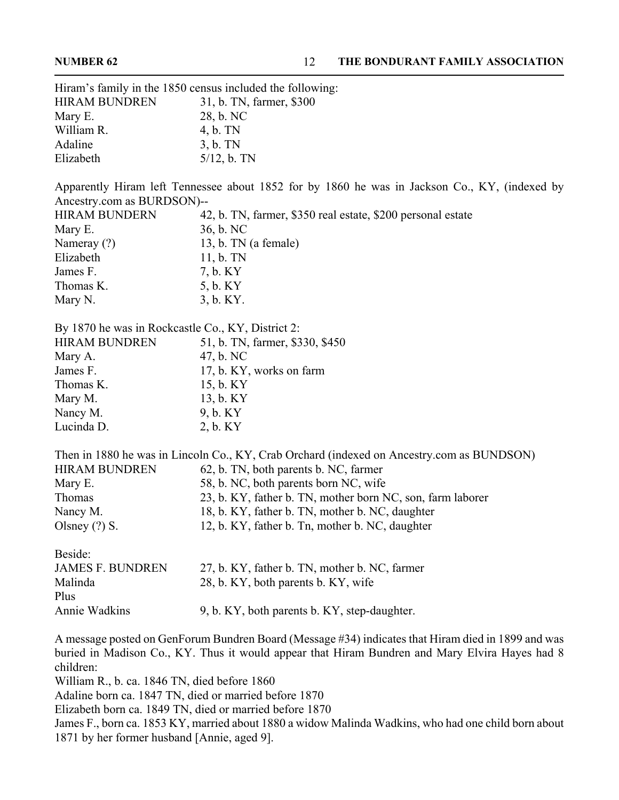|                                                   | Hiram's family in the 1850 census included the following:                                                                                                                                            |
|---------------------------------------------------|------------------------------------------------------------------------------------------------------------------------------------------------------------------------------------------------------|
| <b>HIRAM BUNDREN</b>                              | 31, b. TN, farmer, \$300                                                                                                                                                                             |
| Mary E.                                           | 28, b. NC                                                                                                                                                                                            |
| William R.                                        | 4, b. TN                                                                                                                                                                                             |
| Adaline                                           | $3, b.$ TN                                                                                                                                                                                           |
| Elizabeth                                         | $5/12$ , b. TN                                                                                                                                                                                       |
|                                                   |                                                                                                                                                                                                      |
|                                                   | Apparently Hiram left Tennessee about 1852 for by 1860 he was in Jackson Co., KY, (indexed by                                                                                                        |
| Ancestry.com as BURDSON)--                        |                                                                                                                                                                                                      |
| <b>HIRAM BUNDERN</b>                              | 42, b. TN, farmer, \$350 real estate, \$200 personal estate                                                                                                                                          |
| Mary E.                                           | 36, b. NC                                                                                                                                                                                            |
| Nameray (?)                                       | 13, b. TN (a female)                                                                                                                                                                                 |
| Elizabeth                                         | $11, b. \text{TN}$                                                                                                                                                                                   |
| James F.                                          | 7, b. KY                                                                                                                                                                                             |
| Thomas K.                                         | 5, b. KY                                                                                                                                                                                             |
| Mary N.                                           | 3, b. KY.                                                                                                                                                                                            |
| By 1870 he was in Rockcastle Co., KY, District 2: |                                                                                                                                                                                                      |
| <b>HIRAM BUNDREN</b>                              | 51, b. TN, farmer, \$330, \$450                                                                                                                                                                      |
| Mary A.                                           | 47, b. NC                                                                                                                                                                                            |
| James F.                                          | 17, b. KY, works on farm                                                                                                                                                                             |
| Thomas K.                                         | 15, b. KY                                                                                                                                                                                            |
| Mary M.                                           | 13, b. KY                                                                                                                                                                                            |
| Nancy M.                                          | 9, b. KY                                                                                                                                                                                             |
| Lucinda D.                                        | 2, b. KY                                                                                                                                                                                             |
|                                                   | Then in 1880 he was in Lincoln Co., KY, Crab Orchard (indexed on Ancestry.com as BUNDSON)                                                                                                            |
| <b>HIRAM BUNDREN</b>                              | 62, b. TN, both parents b. NC, farmer                                                                                                                                                                |
| Mary E.                                           | 58, b. NC, both parents born NC, wife                                                                                                                                                                |
| Thomas                                            | 23, b. KY, father b. TN, mother born NC, son, farm laborer                                                                                                                                           |
| Nancy M.                                          | 18, b. KY, father b. TN, mother b. NC, daughter                                                                                                                                                      |
| Olsney $(?)$ S.                                   | 12, b. KY, father b. Tn, mother b. NC, daughter                                                                                                                                                      |
| Beside:                                           |                                                                                                                                                                                                      |
| <b>JAMES F. BUNDREN</b>                           | 27, b. KY, father b. TN, mother b. NC, farmer                                                                                                                                                        |
| Malinda                                           | 28, b. KY, both parents b. KY, wife                                                                                                                                                                  |
| Plus                                              |                                                                                                                                                                                                      |
| Annie Wadkins                                     | 9, b. KY, both parents b. KY, step-daughter.                                                                                                                                                         |
| children:                                         | A message posted on GenForum Bundren Board (Message #34) indicates that Hiram died in 1899 and was<br>buried in Madison Co., KY. Thus it would appear that Hiram Bundren and Mary Elvira Hayes had 8 |

William R., b. ca. 1846 TN, died before 1860

Adaline born ca. 1847 TN, died or married before 1870

Elizabeth born ca. 1849 TN, died or married before 1870

James F., born ca. 1853 KY, married about 1880 a widow Malinda Wadkins, who had one child born about 1871 by her former husband [Annie, aged 9].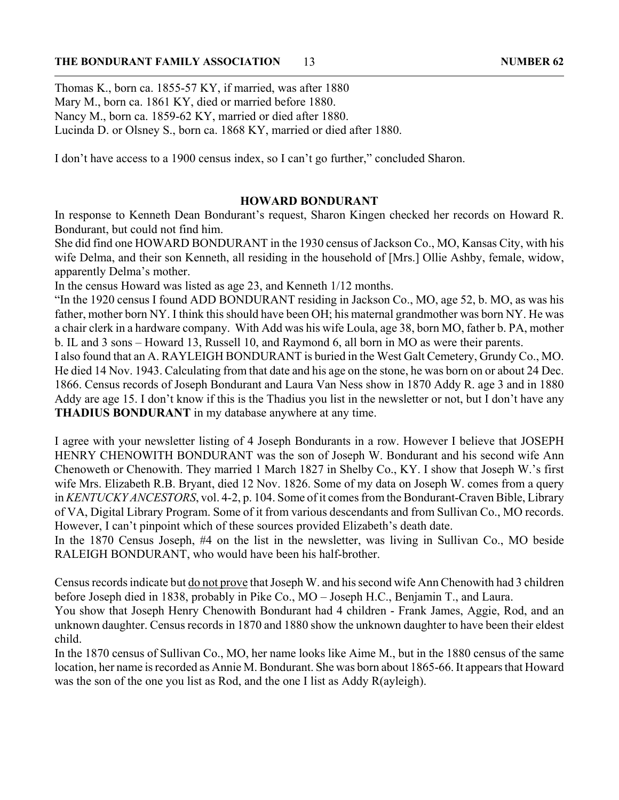Thomas K., born ca. 1855-57 KY, if married, was after 1880 Mary M., born ca. 1861 KY, died or married before 1880. Nancy M., born ca. 1859-62 KY, married or died after 1880. Lucinda D. or Olsney S., born ca. 1868 KY, married or died after 1880.

I don't have access to a 1900 census index, so I can't go further," concluded Sharon.

#### **HOWARD BONDURANT**

In response to Kenneth Dean Bondurant's request, Sharon Kingen checked her records on Howard R. Bondurant, but could not find him.

She did find one HOWARD BONDURANT in the 1930 census of Jackson Co., MO, Kansas City, with his wife Delma, and their son Kenneth, all residing in the household of [Mrs.] Ollie Ashby, female, widow, apparently Delma's mother.

In the census Howard was listed as age 23, and Kenneth 1/12 months.

"In the 1920 census I found ADD BONDURANT residing in Jackson Co., MO, age 52, b. MO, as was his father, mother born NY. I think this should have been OH; his maternal grandmother was born NY. He was a chair clerk in a hardware company. With Add was his wife Loula, age 38, born MO, father b. PA, mother b. IL and 3 sons – Howard 13, Russell 10, and Raymond 6, all born in MO as were their parents.

I also found that an A. RAYLEIGH BONDURANT is buried in the West Galt Cemetery, Grundy Co., MO. He died 14 Nov. 1943. Calculating from that date and his age on the stone, he was born on or about 24 Dec. 1866. Census records of Joseph Bondurant and Laura Van Ness show in 1870 Addy R. age 3 and in 1880 Addy are age 15. I don't know if this is the Thadius you list in the newsletter or not, but I don't have any **THADIUS BONDURANT** in my database anywhere at any time.

I agree with your newsletter listing of 4 Joseph Bondurants in a row. However I believe that JOSEPH HENRY CHENOWITH BONDURANT was the son of Joseph W. Bondurant and his second wife Ann Chenoweth or Chenowith. They married 1 March 1827 in Shelby Co., KY. I show that Joseph W.'s first wife Mrs. Elizabeth R.B. Bryant, died 12 Nov. 1826. Some of my data on Joseph W. comes from a query in *KENTUCKY ANCESTORS*, vol. 4-2, p. 104. Some of it comes from the Bondurant-Craven Bible, Library of VA, Digital Library Program. Some of it from various descendants and from Sullivan Co., MO records. However, I can't pinpoint which of these sources provided Elizabeth's death date.

In the 1870 Census Joseph, #4 on the list in the newsletter, was living in Sullivan Co., MO beside RALEIGH BONDURANT, who would have been his half-brother.

Census records indicate but do not prove that Joseph W. and his second wife Ann Chenowith had 3 children before Joseph died in 1838, probably in Pike Co., MO – Joseph H.C., Benjamin T., and Laura.

You show that Joseph Henry Chenowith Bondurant had 4 children - Frank James, Aggie, Rod, and an unknown daughter. Census records in 1870 and 1880 show the unknown daughter to have been their eldest child.

In the 1870 census of Sullivan Co., MO, her name looks like Aime M., but in the 1880 census of the same location, her name is recorded as Annie M. Bondurant. She was born about 1865-66. It appears that Howard was the son of the one you list as Rod, and the one I list as Addy R(ayleigh).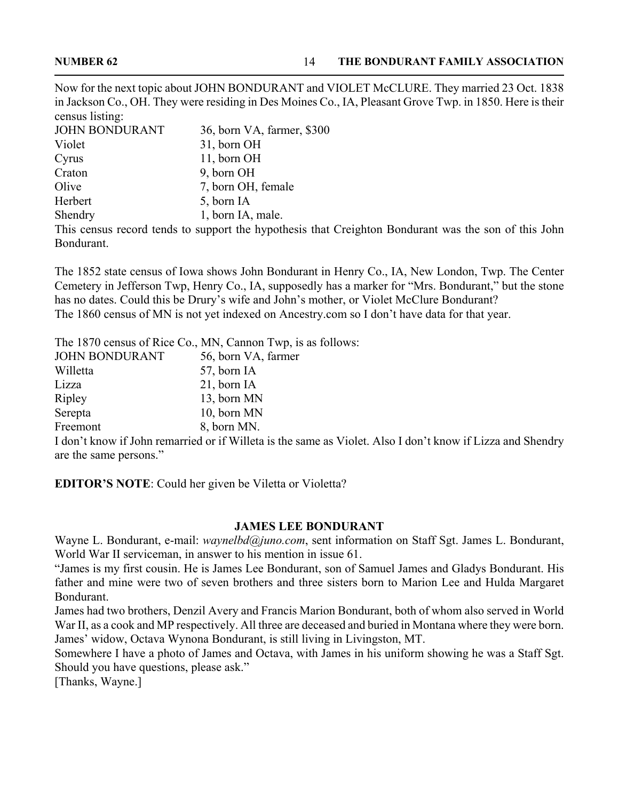Now for the next topic about JOHN BONDURANT and VIOLET McCLURE. They married 23 Oct. 1838 in Jackson Co., OH. They were residing in Des Moines Co., IA, Pleasant Grove Twp. in 1850. Here is their census listing:<br>IQUIN DOUBLE

| <b>JOHN BONDURANT</b> | 36, born VA, farmer, \$300                                                                           |
|-----------------------|------------------------------------------------------------------------------------------------------|
| Violet                | 31, born OH                                                                                          |
| Cyrus                 | 11, born OH                                                                                          |
| Craton                | 9, born OH                                                                                           |
| Olive                 | 7, born OH, female                                                                                   |
| Herbert               | 5, born IA                                                                                           |
| Shendry               | 1, born IA, male.                                                                                    |
|                       | This census record tends to support the hypothesis that Creighton Bondurant was the son of this John |
| Bondurant.            |                                                                                                      |

The 1852 state census of Iowa shows John Bondurant in Henry Co., IA, New London, Twp. The Center Cemetery in Jefferson Twp, Henry Co., IA, supposedly has a marker for "Mrs. Bondurant," but the stone has no dates. Could this be Drury's wife and John's mother, or Violet McClure Bondurant? The 1860 census of MN is not yet indexed on Ancestry.com so I don't have data for that year.

The 1870 census of Rice Co., MN, Cannon Twp, is as follows:

| <b>JOHN BONDURANT</b> | 56, born VA, farmer |
|-----------------------|---------------------|
| Willetta              | 57, born IA         |
| Lizza                 | $21$ , born IA      |
| Ripley                | 13, born MN         |
| Serepta               | 10, born MN         |
| Freemont              | 8, born MN.         |
|                       |                     |

I don't know if John remarried or if Willeta is the same as Violet. Also I don't know if Lizza and Shendry are the same persons."

**EDITOR'S NOTE**: Could her given be Viletta or Violetta?

#### **JAMES LEE BONDURANT**

Wayne L. Bondurant, e-mail: *waynelbd@juno.com*, sent information on Staff Sgt. James L. Bondurant, World War II serviceman, in answer to his mention in issue 61.

"James is my first cousin. He is James Lee Bondurant, son of Samuel James and Gladys Bondurant. His father and mine were two of seven brothers and three sisters born to Marion Lee and Hulda Margaret Bondurant.

James had two brothers, Denzil Avery and Francis Marion Bondurant, both of whom also served in World War II, as a cook and MP respectively. All three are deceased and buried in Montana where they were born. James' widow, Octava Wynona Bondurant, is still living in Livingston, MT.

Somewhere I have a photo of James and Octava, with James in his uniform showing he was a Staff Sgt. Should you have questions, please ask."

[Thanks, Wayne.]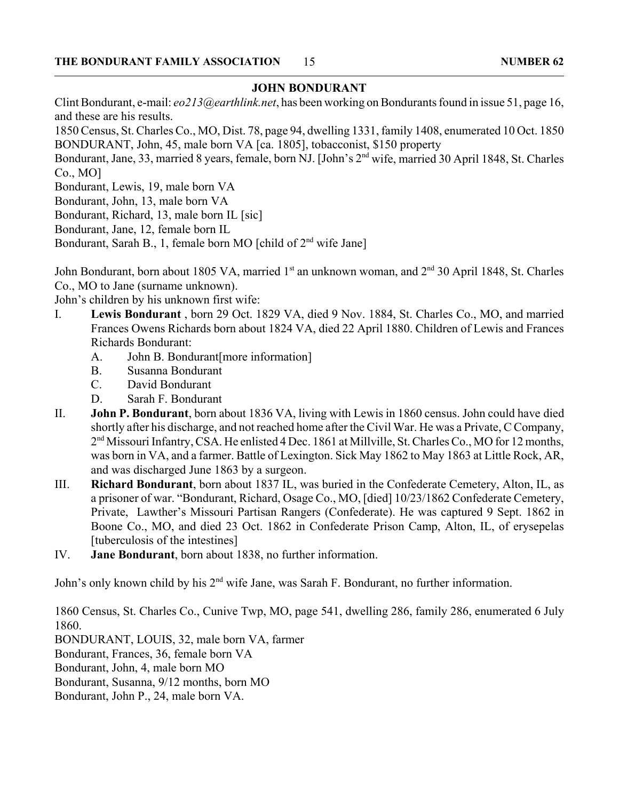#### **JOHN BONDURANT**

Clint Bondurant, e-mail: *eo213@earthlink.net*, has been working on Bondurants found in issue 51, page 16, and these are his results.

1850 Census, St. Charles Co., MO, Dist. 78, page 94, dwelling 1331, family 1408, enumerated 10 Oct. 1850 BONDURANT, John, 45, male born VA [ca. 1805], tobacconist, \$150 property

Bondurant, Jane, 33, married 8 years, female, born NJ. [John's 2nd wife, married 30 April 1848, St. Charles Co., MO]

Bondurant, Lewis, 19, male born VA

Bondurant, John, 13, male born VA

Bondurant, Richard, 13, male born IL [sic]

Bondurant, Jane, 12, female born IL

Bondurant, Sarah B., 1, female born MO [child of 2<sup>nd</sup> wife Jane]

John Bondurant, born about 1805 VA, married 1<sup>st</sup> an unknown woman, and 2<sup>nd</sup> 30 April 1848, St. Charles Co., MO to Jane (surname unknown).

John's children by his unknown first wife:

- I. **Lewis Bondurant** , born 29 Oct. 1829 VA, died 9 Nov. 1884, St. Charles Co., MO, and married Frances Owens Richards born about 1824 VA, died 22 April 1880. Children of Lewis and Frances Richards Bondurant:
	- A. John B. Bondurant[more information]
	- B. Susanna Bondurant
	- C. David Bondurant
	- D. Sarah F. Bondurant
- II. **John P. Bondurant**, born about 1836 VA, living with Lewis in 1860 census. John could have died shortly after his discharge, and not reached home after the Civil War. He was a Private, C Company, 2<sup>nd</sup> Missouri Infantry, CSA. He enlisted 4 Dec. 1861 at Millville, St. Charles Co., MO for 12 months, was born in VA, and a farmer. Battle of Lexington. Sick May 1862 to May 1863 at Little Rock, AR, and was discharged June 1863 by a surgeon.
- III. **Richard Bondurant**, born about 1837 IL, was buried in the Confederate Cemetery, Alton, IL, as a prisoner of war. "Bondurant, Richard, Osage Co., MO, [died] 10/23/1862 Confederate Cemetery, Private, Lawther's Missouri Partisan Rangers (Confederate). He was captured 9 Sept. 1862 in Boone Co., MO, and died 23 Oct. 1862 in Confederate Prison Camp, Alton, IL, of erysepelas [tuberculosis of the intestines]
- IV. **Jane Bondurant**, born about 1838, no further information.

John's only known child by his 2<sup>nd</sup> wife Jane, was Sarah F. Bondurant, no further information.

1860 Census, St. Charles Co., Cunive Twp, MO, page 541, dwelling 286, family 286, enumerated 6 July 1860.

BONDURANT, LOUIS, 32, male born VA, farmer

Bondurant, Frances, 36, female born VA

Bondurant, John, 4, male born MO

Bondurant, Susanna, 9/12 months, born MO

Bondurant, John P., 24, male born VA.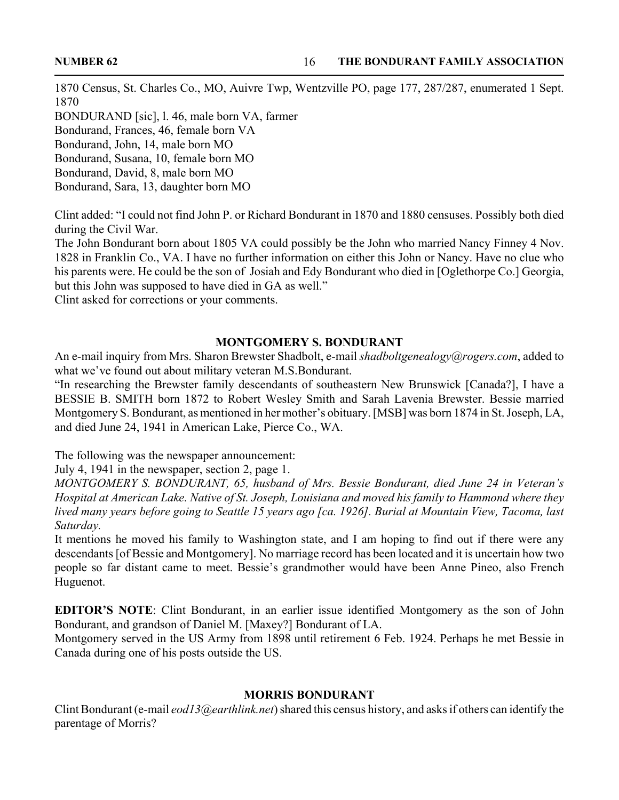1870 Census, St. Charles Co., MO, Auivre Twp, Wentzville PO, page 177, 287/287, enumerated 1 Sept. 1870

BONDURAND [sic], l. 46, male born VA, farmer Bondurand, Frances, 46, female born VA Bondurand, John, 14, male born MO

Bondurand, Susana, 10, female born MO

Bondurand, David, 8, male born MO

Bondurand, Sara, 13, daughter born MO

Clint added: "I could not find John P. or Richard Bondurant in 1870 and 1880 censuses. Possibly both died during the Civil War.

The John Bondurant born about 1805 VA could possibly be the John who married Nancy Finney 4 Nov. 1828 in Franklin Co., VA. I have no further information on either this John or Nancy. Have no clue who his parents were. He could be the son of Josiah and Edy Bondurant who died in [Oglethorpe Co.] Georgia, but this John was supposed to have died in GA as well."

Clint asked for corrections or your comments.

#### **MONTGOMERY S. BONDURANT**

An e-mail inquiry from Mrs. Sharon Brewster Shadbolt, e-mail *shadboltgenealogy@rogers.com*, added to what we've found out about military veteran M.S.Bondurant.

"In researching the Brewster family descendants of southeastern New Brunswick [Canada?], I have a BESSIE B. SMITH born 1872 to Robert Wesley Smith and Sarah Lavenia Brewster. Bessie married Montgomery S. Bondurant, as mentioned in her mother's obituary. [MSB] was born 1874 in St. Joseph, LA, and died June 24, 1941 in American Lake, Pierce Co., WA.

The following was the newspaper announcement:

July 4, 1941 in the newspaper, section 2, page 1.

*MONTGOMERY S. BONDURANT, 65, husband of Mrs. Bessie Bondurant, died June 24 in Veteran's Hospital at American Lake. Native of St. Joseph, Louisiana and moved his family to Hammond where they lived many years before going to Seattle 15 years ago [ca. 1926]. Burial at Mountain View, Tacoma, last Saturday.*

It mentions he moved his family to Washington state, and I am hoping to find out if there were any descendants [of Bessie and Montgomery]. No marriage record has been located and it is uncertain how two people so far distant came to meet. Bessie's grandmother would have been Anne Pineo, also French Huguenot.

**EDITOR'S NOTE**: Clint Bondurant, in an earlier issue identified Montgomery as the son of John Bondurant, and grandson of Daniel M. [Maxey?] Bondurant of LA.

Montgomery served in the US Army from 1898 until retirement 6 Feb. 1924. Perhaps he met Bessie in Canada during one of his posts outside the US.

#### **MORRIS BONDURANT**

Clint Bondurant (e-mail *eod13@earthlink.net*) shared this census history, and asks if others can identify the parentage of Morris?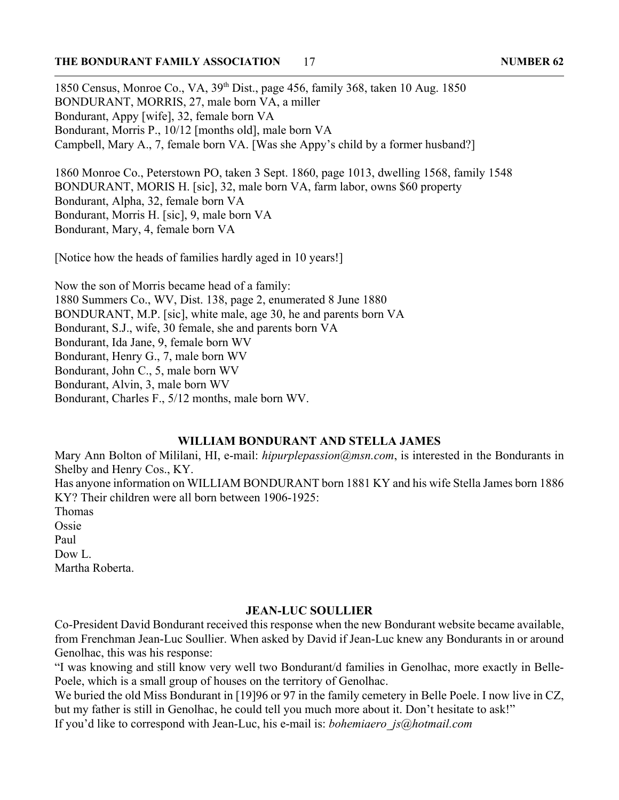#### **THE BONDURANT FAMILY ASSOCIATION NUMBER 62** 17

1850 Census, Monroe Co., VA, 39th Dist., page 456, family 368, taken 10 Aug. 1850 BONDURANT, MORRIS, 27, male born VA, a miller Bondurant, Appy [wife], 32, female born VA Bondurant, Morris P., 10/12 [months old], male born VA Campbell, Mary A., 7, female born VA. [Was she Appy's child by a former husband?]

1860 Monroe Co., Peterstown PO, taken 3 Sept. 1860, page 1013, dwelling 1568, family 1548 BONDURANT, MORIS H. [sic], 32, male born VA, farm labor, owns \$60 property Bondurant, Alpha, 32, female born VA Bondurant, Morris H. [sic], 9, male born VA Bondurant, Mary, 4, female born VA

[Notice how the heads of families hardly aged in 10 years!]

Now the son of Morris became head of a family: 1880 Summers Co., WV, Dist. 138, page 2, enumerated 8 June 1880 BONDURANT, M.P. [sic], white male, age 30, he and parents born VA Bondurant, S.J., wife, 30 female, she and parents born VA Bondurant, Ida Jane, 9, female born WV Bondurant, Henry G., 7, male born WV Bondurant, John C., 5, male born WV Bondurant, Alvin, 3, male born WV Bondurant, Charles F., 5/12 months, male born WV.

### **WILLIAM BONDURANT AND STELLA JAMES**

Mary Ann Bolton of Mililani, HI, e-mail: *hipurplepassion@msn.com*, is interested in the Bondurants in Shelby and Henry Cos., KY. Has anyone information on WILLIAM BONDURANT born 1881 KY and his wife Stella James born 1886 KY? Their children were all born between 1906-1925: Thomas Ossie Paul Dow L. Martha Roberta.

#### **JEAN-LUC SOULLIER**

Co-President David Bondurant received this response when the new Bondurant website became available, from Frenchman Jean-Luc Soullier. When asked by David if Jean-Luc knew any Bondurants in or around Genolhac, this was his response:

"I was knowing and still know very well two Bondurant/d families in Genolhac, more exactly in Belle-Poele, which is a small group of houses on the territory of Genolhac.

We buried the old Miss Bondurant in [19]96 or 97 in the family cemetery in Belle Poele. I now live in CZ, but my father is still in Genolhac, he could tell you much more about it. Don't hesitate to ask!"

If you'd like to correspond with Jean-Luc, his e-mail is: *bohemiaero\_js@hotmail.com*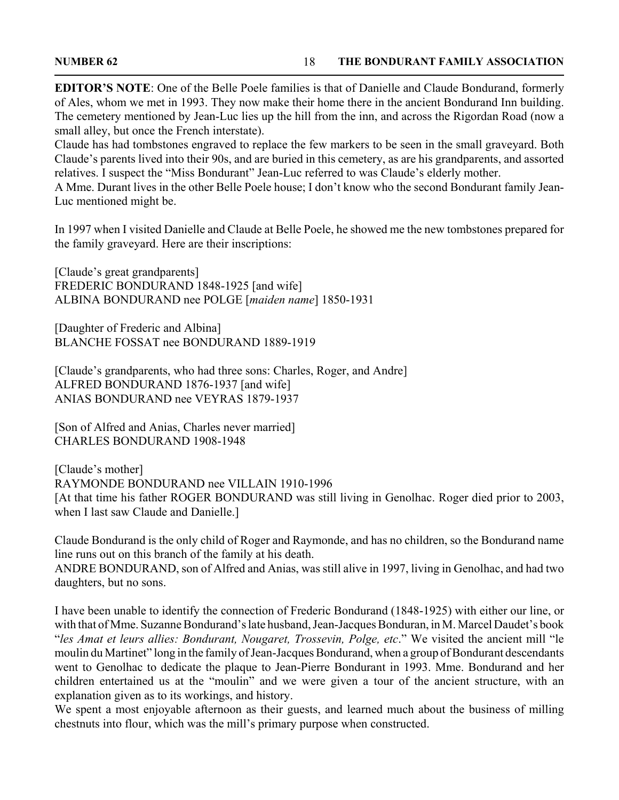**EDITOR'S NOTE**: One of the Belle Poele families is that of Danielle and Claude Bondurand, formerly of Ales, whom we met in 1993. They now make their home there in the ancient Bondurand Inn building. The cemetery mentioned by Jean-Luc lies up the hill from the inn, and across the Rigordan Road (now a small alley, but once the French interstate).

Claude has had tombstones engraved to replace the few markers to be seen in the small graveyard. Both Claude's parents lived into their 90s, and are buried in this cemetery, as are his grandparents, and assorted relatives. I suspect the "Miss Bondurant" Jean-Luc referred to was Claude's elderly mother.

A Mme. Durant lives in the other Belle Poele house; I don't know who the second Bondurant family Jean-Luc mentioned might be.

In 1997 when I visited Danielle and Claude at Belle Poele, he showed me the new tombstones prepared for the family graveyard. Here are their inscriptions:

[Claude's great grandparents] FREDERIC BONDURAND 1848-1925 [and wife] ALBINA BONDURAND nee POLGE [*maiden name*] 1850-1931

[Daughter of Frederic and Albina] BLANCHE FOSSAT nee BONDURAND 1889-1919

[Claude's grandparents, who had three sons: Charles, Roger, and Andre] ALFRED BONDURAND 1876-1937 [and wife] ANIAS BONDURAND nee VEYRAS 1879-1937

[Son of Alfred and Anias, Charles never married] CHARLES BONDURAND 1908-1948

[Claude's mother] RAYMONDE BONDURAND nee VILLAIN 1910-1996 [At that time his father ROGER BONDURAND was still living in Genolhac. Roger died prior to 2003, when I last saw Claude and Danielle.]

Claude Bondurand is the only child of Roger and Raymonde, and has no children, so the Bondurand name line runs out on this branch of the family at his death.

ANDRE BONDURAND, son of Alfred and Anias, was still alive in 1997, living in Genolhac, and had two daughters, but no sons.

I have been unable to identify the connection of Frederic Bondurand (1848-1925) with either our line, or with that of Mme. Suzanne Bondurand's late husband, Jean-Jacques Bonduran, in M. Marcel Daudet's book "*les Amat et leurs allies: Bondurant, Nougaret, Trossevin, Polge, etc*." We visited the ancient mill "le moulin du Martinet" long in the family of Jean-Jacques Bondurand, when a group of Bondurant descendants went to Genolhac to dedicate the plaque to Jean-Pierre Bondurant in 1993. Mme. Bondurand and her children entertained us at the "moulin" and we were given a tour of the ancient structure, with an explanation given as to its workings, and history.

We spent a most enjoyable afternoon as their guests, and learned much about the business of milling chestnuts into flour, which was the mill's primary purpose when constructed.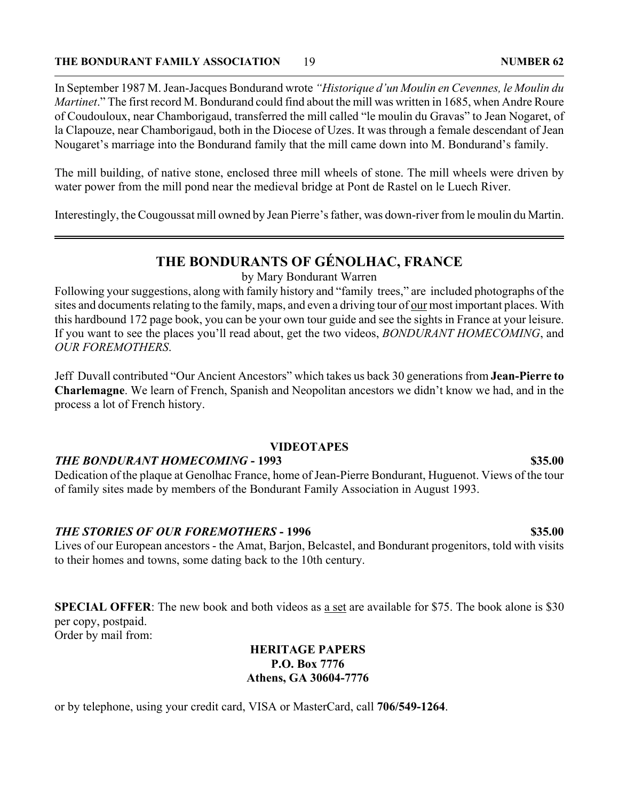#### **THE BONDURANT FAMILY ASSOCIATION 19** 19 **19** 10 NUMBER 62

In September 1987 M. Jean-Jacques Bondurand wrote *"Historique d'un Moulin en Cevennes, le Moulin du Martinet*." The first record M. Bondurand could find about the mill was written in 1685, when Andre Roure of Coudouloux, near Chamborigaud, transferred the mill called "le moulin du Gravas" to Jean Nogaret, of la Clapouze, near Chamborigaud, both in the Diocese of Uzes. It was through a female descendant of Jean Nougaret's marriage into the Bondurand family that the mill came down into M. Bondurand's family.

The mill building, of native stone, enclosed three mill wheels of stone. The mill wheels were driven by water power from the mill pond near the medieval bridge at Pont de Rastel on le Luech River.

Interestingly, the Cougoussat mill owned by Jean Pierre's father, was down-river from le moulin du Martin.

# **THE BONDURANTS OF GÉNOLHAC, FRANCE**

by Mary Bondurant Warren

Following your suggestions, along with family history and "family trees," are included photographs of the sites and documents relating to the family, maps, and even a driving tour of <u>our</u> most important places. With this hardbound 172 page book, you can be your own tour guide and see the sights in France at your leisure. If you want to see the places you'll read about, get the two videos, *BONDURANT HOMECOMING*, and *OUR FOREMOTHERS*.

Jeff Duvall contributed "Our Ancient Ancestors" which takes us back 30 generations from **Jean-Pierre to Charlemagne**. We learn of French, Spanish and Neopolitan ancestors we didn't know we had, and in the process a lot of French history.

#### **VIDEOTAPES**

#### *THE BONDURANT HOMECOMING* **- 1993 \$35.00**

Dedication of the plaque at Genolhac France, home of Jean-Pierre Bondurant, Huguenot. Views of the tour of family sites made by members of the Bondurant Family Association in August 1993.

#### *THE STORIES OF OUR FOREMOTHERS* **- 1996 \$35.00**

Lives of our European ancestors - the Amat, Barjon, Belcastel, and Bondurant progenitors, told with visits to their homes and towns, some dating back to the 10th century.

**SPECIAL OFFER**: The new book and both videos as a set are available for \$75. The book alone is \$30 per copy, postpaid. Order by mail from:

#### **HERITAGE PAPERS P.O. Box 7776 Athens, GA 30604-7776**

or by telephone, using your credit card, VISA or MasterCard, call **706/549-1264**.